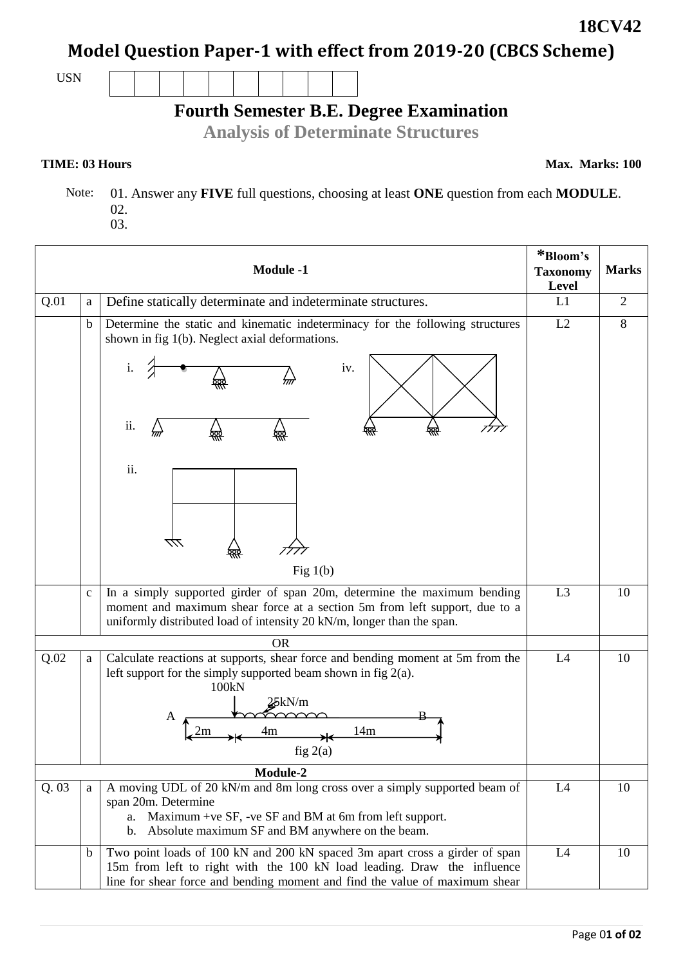## **Model Question Paper-1 with effect from 2019-20 (CBCS Scheme)**

USN

# **Fourth Semester B.E. Degree Examination**

**Analysis of Determinate Structures**

#### **TIME: 03 Hours**

**Max. Marks: 100**

 Note: 01. Answer any **FIVE** full questions, choosing at least **ONE** question from each **MODULE**. 02.

| O2. |  |
|-----|--|
| 03. |  |

|      |              | <b>Module -1</b>                                                                                                                                                                                                                              | *Bloom's<br><b>Taxonomy</b><br>Level | <b>Marks</b>   |
|------|--------------|-----------------------------------------------------------------------------------------------------------------------------------------------------------------------------------------------------------------------------------------------|--------------------------------------|----------------|
| Q.01 | a            | Define statically determinate and indeterminate structures.                                                                                                                                                                                   | L1                                   | $\overline{2}$ |
|      | $\mathbf b$  | Determine the static and kinematic indeterminacy for the following structures<br>shown in fig 1(b). Neglect axial deformations.<br>iv.<br>ii.<br>m<br>ii.<br>777                                                                              | L2                                   | 8              |
|      | $\mathbf{c}$ | Fig $1(b)$<br>In a simply supported girder of span 20m, determine the maximum bending<br>moment and maximum shear force at a section 5m from left support, due to a<br>uniformly distributed load of intensity 20 kN/m, longer than the span. | L <sub>3</sub>                       | 10             |
|      |              | <b>OR</b>                                                                                                                                                                                                                                     |                                      |                |
| Q.02 | a            | Calculate reactions at supports, shear force and bending moment at 5m from the<br>left support for the simply supported beam shown in fig $2(a)$ .<br>100kN<br>25kN/m<br>A<br>4m<br>14m<br>2m<br>fig 2(a)                                     | L4                                   | 10             |
|      |              | Module-2                                                                                                                                                                                                                                      |                                      |                |
| Q.03 | a            | A moving UDL of 20 kN/m and 8m long cross over a simply supported beam of<br>span 20m. Determine<br>a. Maximum +ve SF, -ve SF and BM at 6m from left support.<br>Absolute maximum SF and BM anywhere on the beam.<br>b.                       | L4                                   | 10             |
|      | b            | Two point loads of 100 kN and 200 kN spaced 3m apart cross a girder of span<br>15m from left to right with the 100 kN load leading. Draw the influence<br>line for shear force and bending moment and find the value of maximum shear         | L4                                   | 10             |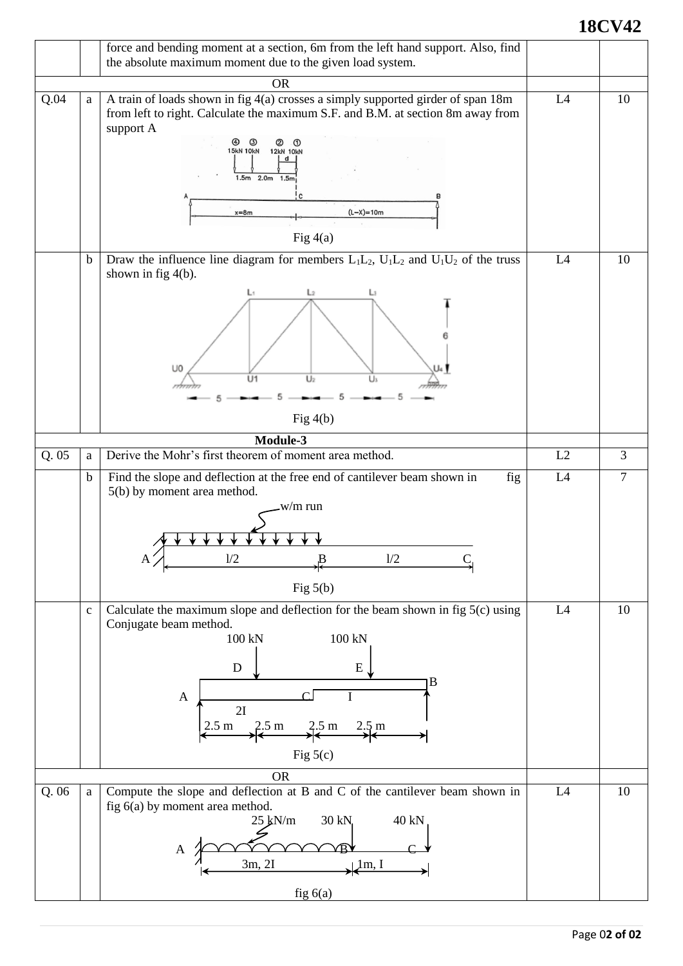### **18CV42**

|       |             | force and bending moment at a section, 6m from the left hand support. Also, find<br>the absolute maximum moment due to the given load system.                                                                                                                                                      |    |                |
|-------|-------------|----------------------------------------------------------------------------------------------------------------------------------------------------------------------------------------------------------------------------------------------------------------------------------------------------|----|----------------|
|       |             | <b>OR</b>                                                                                                                                                                                                                                                                                          |    |                |
| Q.04  | a           | A train of loads shown in fig 4(a) crosses a simply supported girder of span 18m<br>from left to right. Calculate the maximum S.F. and B.M. at section 8m away from<br>support A<br>಄<br>(2)<br><b>15kN 10kN</b><br><b>12kN 10kN</b><br>d<br>1.5m 2.0m 1.5m<br>$(L-X)=10m$<br>$x=8m$<br>Fig $4(a)$ | L4 | 10             |
|       | $\mathbf b$ | Draw the influence line diagram for members $L_1L_2$ , $U_1L_2$ and $U_1U_2$ of the truss<br>shown in fig $4(b)$ .<br>U <sub>0</sub><br>U1<br>U <sub>2</sub><br>Us<br>Fig $4(b)$                                                                                                                   | L4 | 10             |
|       |             | Module-3                                                                                                                                                                                                                                                                                           |    |                |
| Q.05  | a           | Derive the Mohr's first theorem of moment area method.                                                                                                                                                                                                                                             | L2 | $\overline{3}$ |
|       | $\mathbf b$ | Find the slope and deflection at the free end of cantilever beam shown in<br>fig<br>5(b) by moment area method.<br>w/m run<br>1/2<br>1/2<br>Fig $5(b)$                                                                                                                                             | L4 | $\tau$         |
|       | $\mathbf c$ | Calculate the maximum slope and deflection for the beam shown in fig 5(c) using<br>Conjugate beam method.<br>100 kN<br>100 kN<br>${\bf E}$<br>D<br>$\mathbf B$<br>A<br>2I<br>$2.5 \text{ m}$ $2.5 \text{ m}$ $2.5 \text{ m}$ $2.5 \text{ m}$<br>Fig $5(c)$                                         | L4 | 10             |
|       |             | <b>OR</b>                                                                                                                                                                                                                                                                                          |    |                |
| Q. 06 | a           | Compute the slope and deflection at B and C of the cantilever beam shown in<br>fig 6(a) by moment area method.<br>30 kN<br>40 kN<br>$25 \text{ kN/m}$<br>A<br>3m, 2I<br>$\lfloor \ln, I \rfloor$<br>fig $6(a)$                                                                                     | L4 | 10             |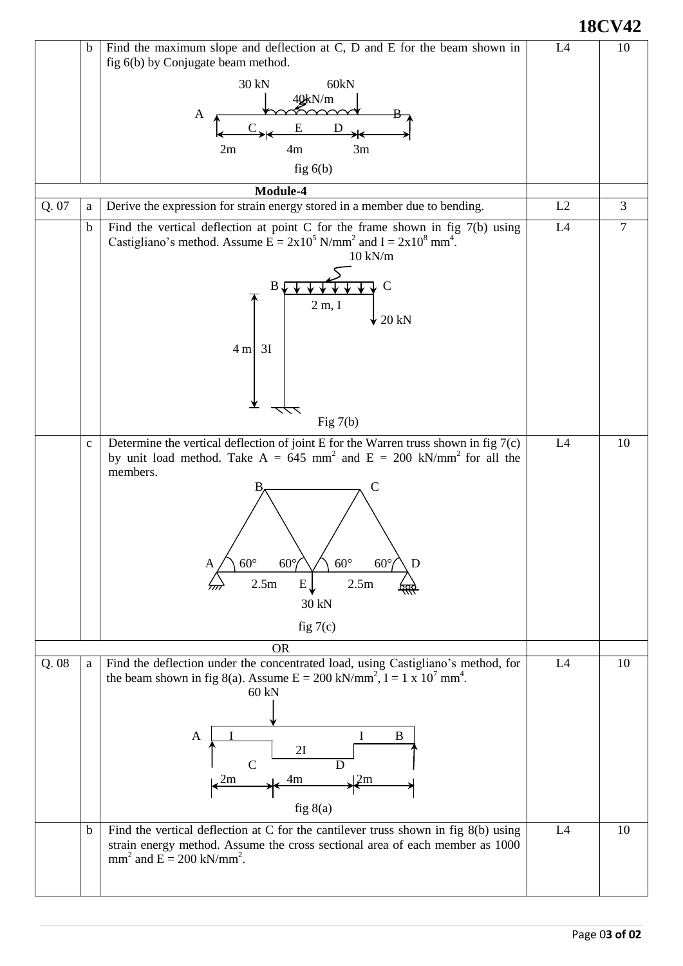**18CV42**